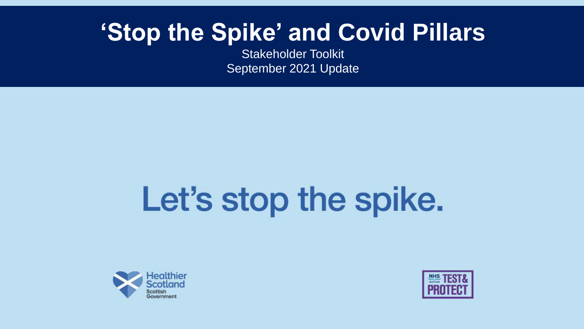### **'Stop the Spike' and Covid Pillars**

Stakeholder Toolkit September 2021 Update

# Let's stop the spike.



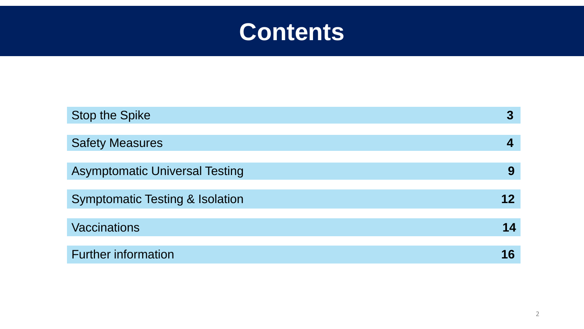

| <b>Stop the Spike</b>                      | 3  |
|--------------------------------------------|----|
| <b>Safety Measures</b>                     |    |
|                                            |    |
| <b>Asymptomatic Universal Testing</b>      | 9  |
| <b>Symptomatic Testing &amp; Isolation</b> | 12 |
| <b>Vaccinations</b>                        | 14 |
| <b>Further information</b>                 | 16 |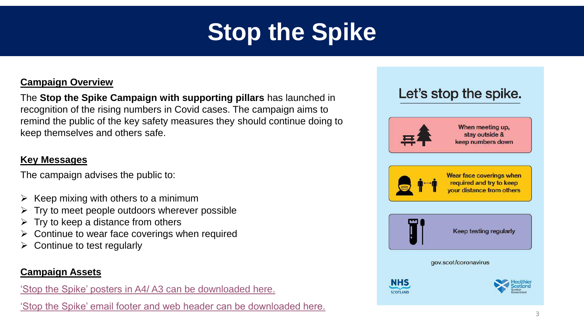## **Stop the Spike**

#### **Campaign Overview**

The **Stop the Spike Campaign with supporting pillars** has launched in recognition of the rising numbers in Covid cases. The campaign aims to remind the public of the key safety measures they should continue doing to keep themselves and others safe.

#### **Key Messages**

The campaign advises the public to:

- Keep mixing with others to a minimum
- Try to meet people outdoors wherever possible
- Try to keep a distance from others
- Continue to wear face coverings when required
- Continue to test regularly

#### **Campaign Assets**

['Stop the Spike' posters in](https://we.tl/t-mb2nNdDkl0) A4/ A3 can be downloaded here.

['Stop the Spike' email footer and web header can be downloaded here.](https://we.tl/t-jzeRgXt9PU)

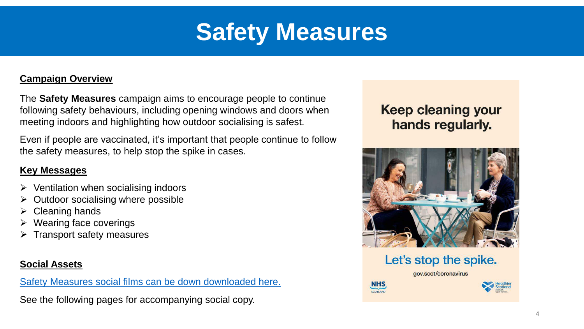### **Safety Measures**

#### **Campaign Overview**

The **Safety Measures** campaign aims to encourage people to continue following safety behaviours, including opening windows and doors when meeting indoors and highlighting how outdoor socialising is safest.

Even if people are vaccinated, it's important that people continue to follow the safety measures, to help stop the spike in cases.

#### **Key Messages**

- $\triangleright$  Ventilation when socialising indoors
- Outdoor socialising where possible
- Cleaning hands
- Wearing face coverings
- Transport safety measures

#### **Social Assets**

[Safety Measures social films can be down downloaded here.](https://we.tl/t-0qjEZKFpjs)

See the following pages for accompanying social copy.

#### **Keep cleaning your** hands regularly.



Let's stop the spike.

gov.scot/coronavirus

**NHS** SCOTLAND

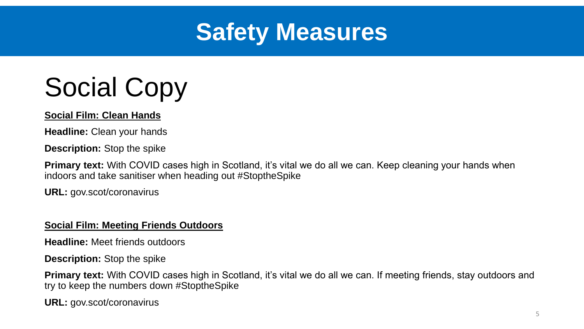

## Social Copy

#### **Social Film: Clean Hands**

**Headline:** Clean your hands

**Description:** Stop the spike

**Primary text:** With COVID cases high in Scotland, it's vital we do all we can. Keep cleaning your hands when indoors and take sanitiser when heading out #StoptheSpike

**URL:** gov.scot/coronavirus

#### **Social Film: Meeting Friends Outdoors**

**Headline:** Meet friends outdoors

**Description:** Stop the spike

**Primary text:** With COVID cases high in Scotland, it's vital we do all we can. If meeting friends, stay outdoors and try to keep the numbers down #StoptheSpike

**URL:** gov.scot/coronavirus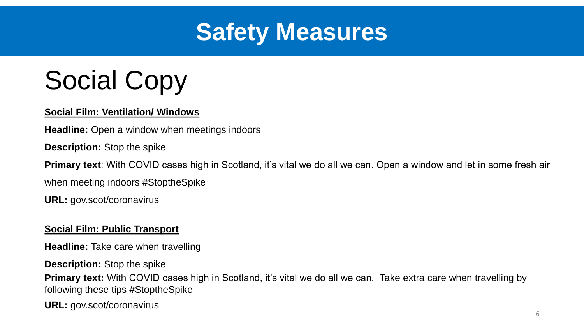

## Social Copy

#### **Social Film: Ventilation/ Windows**

**Headline:** Open a window when meetings indoors

**Description:** Stop the spike

**Primary text**: With COVID cases high in Scotland, it's vital we do all we can. Open a window and let in some fresh air

when meeting indoors #StoptheSpike

**URL:** gov.scot/coronavirus

#### **Social Film: Public Transport**

**Headline:** Take care when travelling

**Description:** Stop the spike

**Primary text:** With COVID cases high in Scotland, it's vital we do all we can. Take extra care when travelling by following these tips #StoptheSpike

**URL:** gov.scot/coronavirus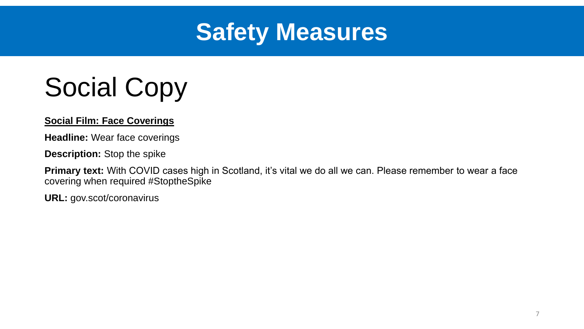

## Social Copy

**Social Film: Face Coverings**

**Headline:** Wear face coverings

**Description:** Stop the spike

**Primary text:** With COVID cases high in Scotland, it's vital we do all we can. Please remember to wear a face covering when required #StoptheSpike

**URL:** gov.scot/coronavirus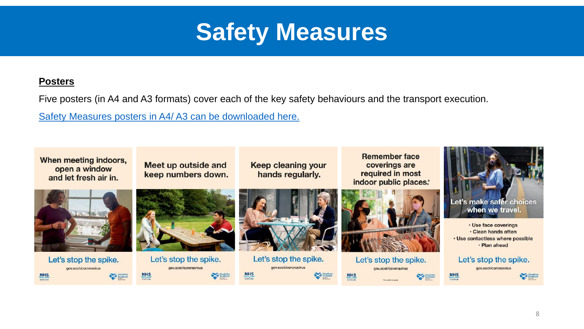

#### **Posters**

Five posters (in A4 and A3 formats) cover each of the key safety behaviours and the transport execution.

[Safety Measures posters in A4/ A3](https://we.tl/t-lxW4sbN9KW) can be downloaded here.

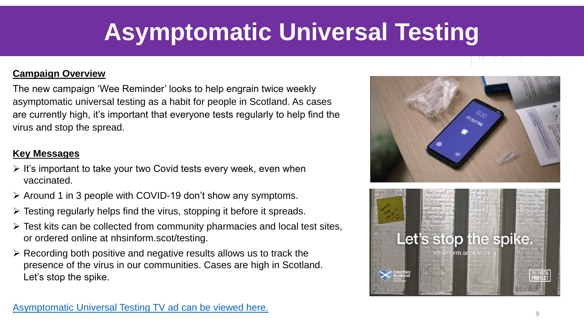### **Asymptomatic Universal Testing**

#### **Campaign Overview**

The new campaign 'Wee Reminder' looks to help engrain twice weekly asymptomatic universal testing as a habit for people in Scotland. As cases are currently high, it's important that everyone tests regularly to help find the virus and stop the spread.

#### **Key Messages**

- $\triangleright$  It's important to take your two Covid tests every week, even when vaccinated.
- $\triangleright$  Around 1 in 3 people with COVID-19 don't show any symptoms.
- $\triangleright$  Testing regularly helps find the virus, stopping it before it spreads.
- $\triangleright$  Test kits can be collected from community pharmacies and local test sites, or ordered online at nhsinform.scot/testing.
- $\triangleright$  Recording both positive and negative results allows us to track the presence of the virus in our communities. Cases are high in Scotland. Let's stop the spike.



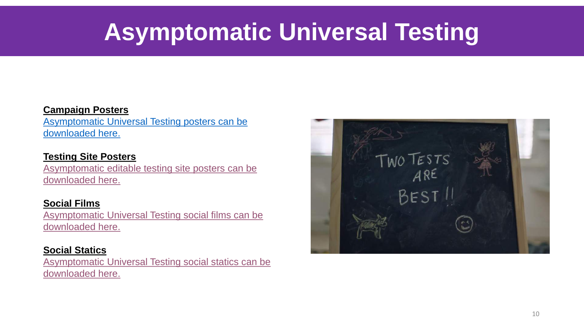### **Asymptomatic Universal Testing**

#### **Campaign Posters**

[Asymptomatic Universal Testing posters can be](https://we.tl/t-CJDr70r8rt)  downloaded here.

#### **Testing Site Posters**

[Asymptomatic editable testing site posters can be](https://we.tl/t-L7Xz2jEYNT)  downloaded here.

#### **Social Films**

[Asymptomatic Universal Testing social films can be](https://we.tl/t-NAdYwodFQ6)  downloaded here.

#### **Social Statics**

[Asymptomatic Universal Testing social statics can be](https://we.tl/t-XurKZmmlGc)  downloaded here.

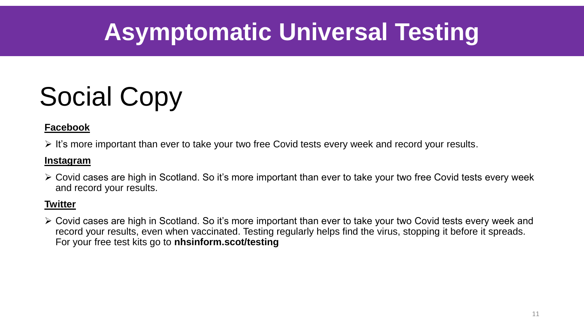### **Asymptomatic Universal Testing**

## Social Copy

#### **Facebook**

 $\triangleright$  It's more important than ever to take your two free Covid tests every week and record your results.

#### **Instagram**

 Covid cases are high in Scotland. So it's more important than ever to take your two free Covid tests every week and record your results.

#### **Twitter**

 Covid cases are high in Scotland. So it's more important than ever to take your two Covid tests every week and record your results, even when vaccinated. Testing regularly helps find the virus, stopping it before it spreads. For your free test kits go to **nhsinform.scot/testing**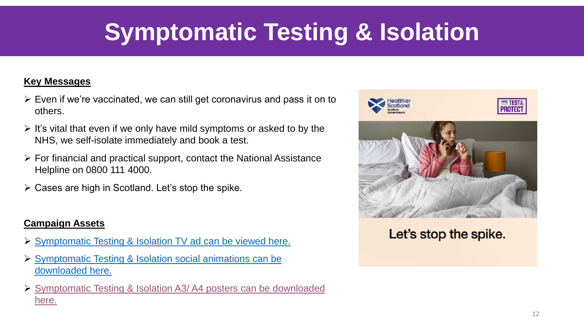### **Symptomatic Testing & Isolation**

#### **Key Messages**

- $\triangleright$  Even if we're vaccinated, we can still get coronavirus and pass it on to others.
- $\triangleright$  It's vital that even if we only have mild symptoms or asked to by the NHS, we self-isolate immediately and book a test.
- $\triangleright$  For financial and practical support, contact the National Assistance Helpline on 0800 111 4000.
- $\triangleright$  Cases are high in Scotland. Let's stop the spike.

#### **Campaign Assets**

- [Symptomatic Testing & Isolation TV ad can be viewed here.](https://youtu.be/1tHKKSzKCjg)
- [Symptomatic Testing & Isolation social animations can be](https://we.tl/t-uxQXfRfZVV) downloaded here.
- [Symptomatic Testing & Isolation A3/ A4](https://we.tl/t-cfvSV3fiWM) posters can be downloaded here.



Let's stop the spike.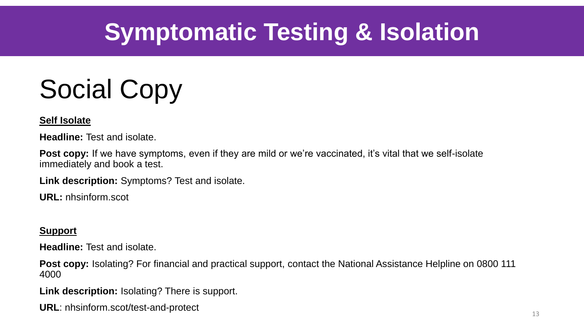## **Symptomatic Testing & Isolation**

## Social Copy

#### **Self Isolate**

**Headline:** Test and isolate.

**Post copy:** If we have symptoms, even if they are mild or we're vaccinated, it's vital that we self-isolate immediately and book a test.

**Link description:** Symptoms? Test and isolate.

**URL:** nhsinform.scot

#### **Support**

**Headline:** Test and isolate.

**Post copy:** Isolating? For financial and practical support, contact the National Assistance Helpline on 0800 111 4000

**Link description:** Isolating? There is support.

**URL**: nhsinform.scot/test-and-protect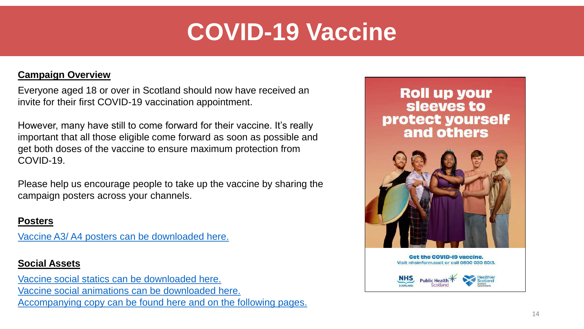### **COVID-19 Vaccine**

#### **Campaign Overview**

Everyone aged 18 or over in Scotland should now have received an invite for their first COVID-19 vaccination appointment.

However, many have still to come forward for their vaccine. It's really important that all those eligible come forward as soon as possible and get both doses of the vaccine to ensure maximum protection from COVID-19.

Please help us encourage people to take up the vaccine by sharing the campaign posters across your channels.

#### **Posters**

Vaccine A3/ A4 [posters can be downloaded here.](https://we.tl/t-qyklc7y3XV)

#### **Social Assets**

[Vaccine social statics can be downloaded here.](https://we.tl/t-6GOepXflhd) [Vaccine social animations can be downloaded here.](https://we.tl/t-gpR86Xyqlt) [Accompanying copy can be found here and on the following pages.](https://we.tl/t-7KMLC0cfNc)

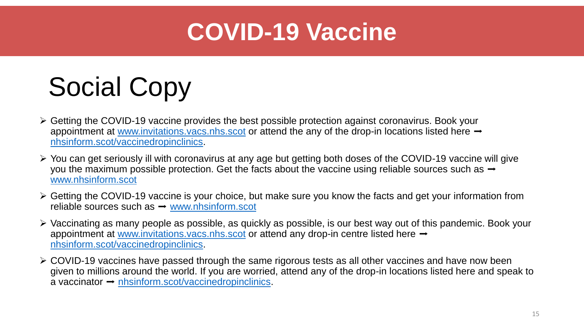### **COVID-19 Vaccine**

## Social Copy

- $\triangleright$  Getting the COVID-19 vaccine provides the best possible protection against coronavirus. Book your appointment at [www.invitations.vacs.nhs.scot](http://www.invitations.vacs.nhs.scot/) or attend the any of the drop-in locations listed here  $\rightarrow$ [nhsinform.scot/vaccinedropinclinics.](https://protect-eu.mimecast.com/s/ubJgCvgxVFAp2BjFXLWD5?domain=nhsinform.scot)
- You can get seriously ill with coronavirus at any age but getting both doses of the COVID-19 vaccine will give you the maximum possible protection. Get the facts about the vaccine using reliable sources such as  $\rightarrow$ [www.nhsinform.scot](http://www.nhsinform.scot/)
- $\triangleright$  Getting the COVID-19 vaccine is your choice, but make sure you know the facts and get your information from reliable sources such as  $\rightarrow$  [www.nhsinform.scot](http://www.nhsinform.scot/)
- Vaccinating as many people as possible, as quickly as possible, is our best way out of this pandemic. Book your appointment at [www.invitations.vacs.nhs.scot](http://www.invitations.vacs.nhs.scot/) or attend any drop-in centre listed here  $\rightarrow$ [nhsinform.scot/vaccinedropinclinics.](https://protect-eu.mimecast.com/s/ubJgCvgxVFAp2BjFXLWD5?domain=nhsinform.scot)
- COVID-19 vaccines have passed through the same rigorous tests as all other vaccines and have now been given to millions around the world. If you are worried, attend any of the drop-in locations listed here and speak to a vaccinator  $\rightarrow$  [nhsinform.scot/vaccinedropinclinics](https://protect-eu.mimecast.com/s/ubJgCvgxVFAp2BjFXLWD5?domain=nhsinform.scot).